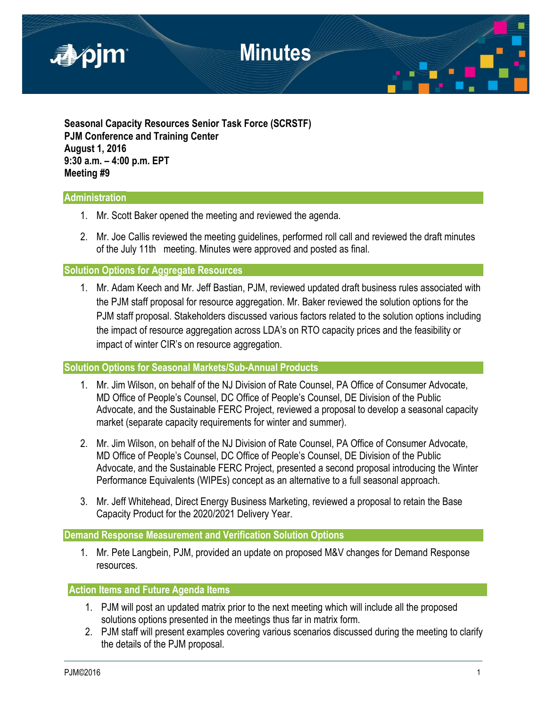

**Seasonal Capacity Resources Senior Task Force (SCRSTF) PJM Conference and Training Center August 1, 2016 9:30 a.m. – 4:00 p.m. EPT Meeting #9**

### **Administration**

- 1. Mr. Scott Baker opened the meeting and reviewed the agenda.
- 2. Mr. Joe Callis reviewed the meeting guidelines, performed roll call and reviewed the draft minutes of the July 11th meeting. Minutes were approved and posted as final.

**Solution Options for Aggregate Resources** 

1. Mr. Adam Keech and Mr. Jeff Bastian, PJM, reviewed updated draft business rules associated with the PJM staff proposal for resource aggregation. Mr. Baker reviewed the solution options for the PJM staff proposal. Stakeholders discussed various factors related to the solution options including the impact of resource aggregation across LDA's on RTO capacity prices and the feasibility or impact of winter CIR's on resource aggregation.

#### **Solution Options for Seasonal Markets/Sub-Annual Products**

- 1. Mr. Jim Wilson, on behalf of the NJ Division of Rate Counsel, PA Office of Consumer Advocate, MD Office of People's Counsel, DC Office of People's Counsel, DE Division of the Public Advocate, and the Sustainable FERC Project, reviewed a proposal to develop a seasonal capacity market (separate capacity requirements for winter and summer).
- 2. Mr. Jim Wilson, on behalf of the NJ Division of Rate Counsel, PA Office of Consumer Advocate, MD Office of People's Counsel, DC Office of People's Counsel, DE Division of the Public Advocate, and the Sustainable FERC Project, presented a second proposal introducing the Winter Performance Equivalents (WIPEs) concept as an alternative to a full seasonal approach.
- 3. Mr. Jeff Whitehead, Direct Energy Business Marketing, reviewed a proposal to retain the Base Capacity Product for the 2020/2021 Delivery Year.

#### **Demand Response Measurement and Verification Solution Options**

1. Mr. Pete Langbein, PJM, provided an update on proposed M&V changes for Demand Response resources.

#### **Action Items and Future Agenda Items**

- 1. PJM will post an updated matrix prior to the next meeting which will include all the proposed solutions options presented in the meetings thus far in matrix form.
- 2. PJM staff will present examples covering various scenarios discussed during the meeting to clarify the details of the PJM proposal.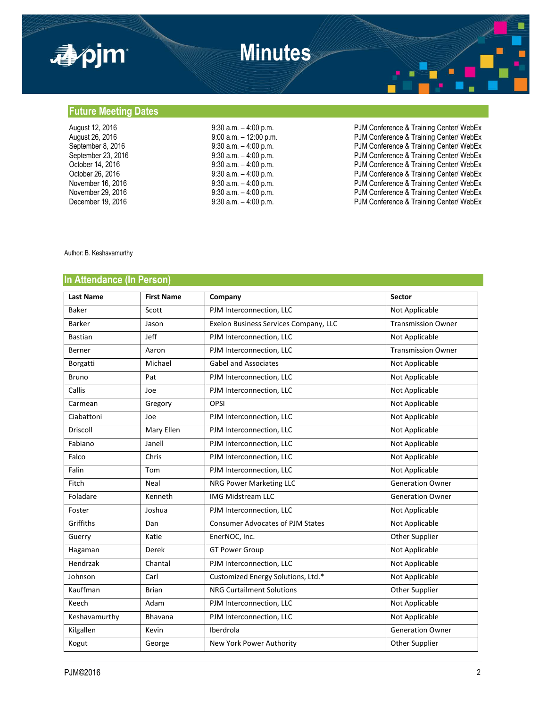

## **Future Meeting Dates**

| August 12, 2016    | $9:30$ a.m. $-4:00$ p.m.  | PJM Conference & Training Center/ WebEx |
|--------------------|---------------------------|-----------------------------------------|
| August 26, 2016    | $9:00$ a.m. $-12:00$ p.m. | PJM Conference & Training Center/ WebEx |
| September 8, 2016  | $9:30$ a.m. $-4:00$ p.m.  | PJM Conference & Training Center/ WebEx |
| September 23, 2016 | $9:30$ a.m. $-4:00$ p.m.  | PJM Conference & Training Center/ WebEx |
| October 14, 2016   | $9:30$ a.m. $-4:00$ p.m.  | PJM Conference & Training Center/ WebEx |
| October 26, 2016   | $9:30$ a.m. $-4:00$ p.m.  | PJM Conference & Training Center/ WebEx |
| November 16, 2016  | $9:30$ a.m. $-4:00$ p.m.  | PJM Conference & Training Center/ WebEx |
| November 29, 2016  | $9:30$ a.m. $-4:00$ p.m.  | PJM Conference & Training Center/ WebEx |
| December 19, 2016  | $9:30$ a.m. $-4:00$ p.m.  | PJM Conference & Training Center/ WebEx |

#### Author: B. Keshavamurthy

### **In Attendance (In Person)**

| <b>Last Name</b> | <b>First Name</b> | Company                                 | <b>Sector</b>             |
|------------------|-------------------|-----------------------------------------|---------------------------|
| Baker            | Scott             | PJM Interconnection, LLC                | Not Applicable            |
| <b>Barker</b>    | Jason             | Exelon Business Services Company, LLC   | <b>Transmission Owner</b> |
| <b>Bastian</b>   | Jeff              | PJM Interconnection, LLC                | Not Applicable            |
| Berner           | Aaron             | PJM Interconnection, LLC                | <b>Transmission Owner</b> |
| Borgatti         | Michael           | <b>Gabel and Associates</b>             | Not Applicable            |
| <b>Bruno</b>     | Pat               | PJM Interconnection, LLC                | Not Applicable            |
| Callis           | Joe               | PJM Interconnection, LLC                | Not Applicable            |
| Carmean          | Gregory           | <b>OPSI</b>                             | Not Applicable            |
| Ciabattoni       | Joe               | PJM Interconnection, LLC                | Not Applicable            |
| <b>Driscoll</b>  | Mary Ellen        | PJM Interconnection, LLC                | Not Applicable            |
| Fabiano          | Janell            | PJM Interconnection, LLC                | Not Applicable            |
| Falco            | Chris             | PJM Interconnection, LLC                | Not Applicable            |
| Falin            | Tom               | PJM Interconnection, LLC                | Not Applicable            |
| Fitch            | Neal              | NRG Power Marketing LLC                 | <b>Generation Owner</b>   |
| Foladare         | Kenneth           | <b>IMG Midstream LLC</b>                | <b>Generation Owner</b>   |
| Foster           | Joshua            | PJM Interconnection, LLC                | Not Applicable            |
| Griffiths        | Dan               | <b>Consumer Advocates of PJM States</b> | Not Applicable            |
| Guerry           | Katie             | EnerNOC, Inc.                           | Other Supplier            |
| Hagaman          | Derek             | <b>GT Power Group</b>                   | Not Applicable            |
| Hendrzak         | Chantal           | PJM Interconnection, LLC                | Not Applicable            |
| Johnson          | Carl              | Customized Energy Solutions, Ltd.*      | Not Applicable            |
| Kauffman         | <b>Brian</b>      | <b>NRG Curtailment Solutions</b>        | Other Supplier            |
| Keech            | Adam              | PJM Interconnection, LLC                | Not Applicable            |
| Keshavamurthy    | Bhavana           | PJM Interconnection, LLC                | Not Applicable            |
| Kilgallen        | Kevin             | Iberdrola                               | <b>Generation Owner</b>   |
| Kogut            | George            | New York Power Authority                | Other Supplier            |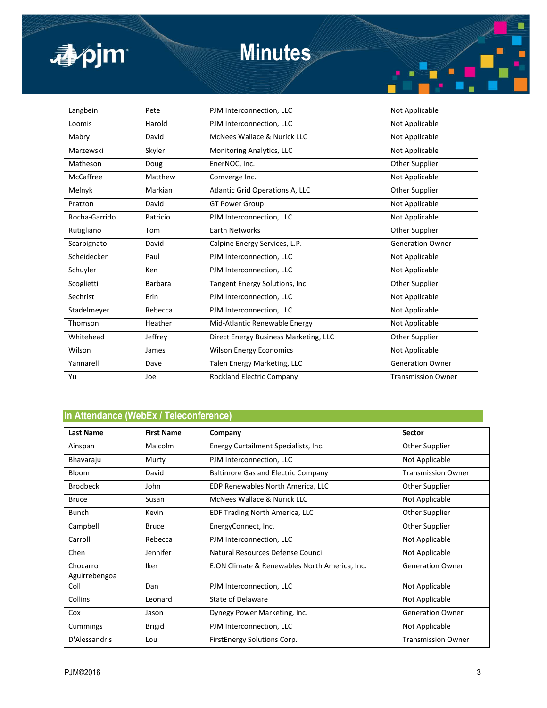

# **Minutes**

| Langbein      | Pete           | PJM Interconnection, LLC              | Not Applicable            |
|---------------|----------------|---------------------------------------|---------------------------|
| Loomis        | Harold         | PJM Interconnection, LLC              | Not Applicable            |
| Mabry         | David          | McNees Wallace & Nurick LLC           | Not Applicable            |
| Marzewski     | Skyler         | Monitoring Analytics, LLC             | Not Applicable            |
| Matheson      | Doug           | EnerNOC, Inc.                         | Other Supplier            |
| McCaffree     | Matthew        | Comverge Inc.                         | Not Applicable            |
| Melnyk        | Markian        | Atlantic Grid Operations A, LLC       | Other Supplier            |
| Pratzon       | David          | <b>GT Power Group</b>                 | Not Applicable            |
| Rocha-Garrido | Patricio       | PJM Interconnection, LLC              | Not Applicable            |
| Rutigliano    | Tom            | <b>Earth Networks</b>                 | Other Supplier            |
| Scarpignato   | David          | Calpine Energy Services, L.P.         | <b>Generation Owner</b>   |
| Scheidecker   | Paul           | PJM Interconnection, LLC              | Not Applicable            |
| Schuyler      | Ken            | PJM Interconnection, LLC              | Not Applicable            |
| Scoglietti    | <b>Barbara</b> | Tangent Energy Solutions, Inc.        | Other Supplier            |
| Sechrist      | Erin           | PJM Interconnection, LLC              | Not Applicable            |
| Stadelmeyer   | Rebecca        | PJM Interconnection, LLC              | Not Applicable            |
| Thomson       | Heather        | Mid-Atlantic Renewable Energy         | Not Applicable            |
| Whitehead     | Jeffrey        | Direct Energy Business Marketing, LLC | Other Supplier            |
| Wilson        | James          | <b>Wilson Energy Economics</b>        | Not Applicable            |
| Yannarell     | Dave           | Talen Energy Marketing, LLC           | <b>Generation Owner</b>   |
| Yu            | Joel           | <b>Rockland Electric Company</b>      | <b>Transmission Owner</b> |

### **In Attendance (WebEx / Teleconference)**

| <b>Last Name</b>          | <b>First Name</b> | Company                                       | <b>Sector</b>             |
|---------------------------|-------------------|-----------------------------------------------|---------------------------|
| Ainspan                   | Malcolm           | Energy Curtailment Specialists, Inc.          | Other Supplier            |
| Bhavaraju                 | Murty             | PJM Interconnection, LLC                      | Not Applicable            |
| <b>Bloom</b>              | David             | <b>Baltimore Gas and Electric Company</b>     | <b>Transmission Owner</b> |
| <b>Brodbeck</b>           | John              | EDP Renewables North America, LLC             | Other Supplier            |
| <b>Bruce</b>              | Susan             | McNees Wallace & Nurick LLC                   | Not Applicable            |
| <b>Bunch</b>              | Kevin             | EDF Trading North America, LLC                | Other Supplier            |
| Campbell                  | <b>Bruce</b>      | EnergyConnect, Inc.                           | Other Supplier            |
| Carroll                   | Rebecca           | PJM Interconnection, LLC                      | Not Applicable            |
| Chen                      | Jennifer          | Natural Resources Defense Council             | Not Applicable            |
| Chocarro<br>Aguirrebengoa | Iker              | E.ON Climate & Renewables North America, Inc. | <b>Generation Owner</b>   |
| Coll                      | Dan               | PJM Interconnection, LLC                      | Not Applicable            |
| Collins                   | Leonard           | State of Delaware                             | Not Applicable            |
| Cox                       | Jason             | Dynegy Power Marketing, Inc.                  | <b>Generation Owner</b>   |
| Cummings                  | <b>Brigid</b>     | PJM Interconnection, LLC                      | Not Applicable            |
| D'Alessandris             | Lou               | FirstEnergy Solutions Corp.                   | <b>Transmission Owner</b> |

Ē

m.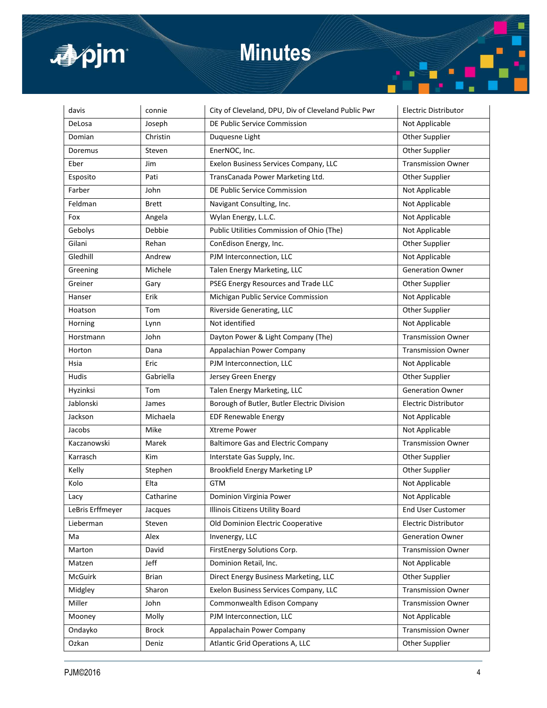

# **Minutes**

| davis            | connie       | City of Cleveland, DPU, Div of Cleveland Public Pwr | <b>Electric Distributor</b> |
|------------------|--------------|-----------------------------------------------------|-----------------------------|
| DeLosa           | Joseph       | DE Public Service Commission                        | Not Applicable              |
| Domian           | Christin     | Duquesne Light                                      | Other Supplier              |
| Doremus          | Steven       | EnerNOC, Inc.                                       | Other Supplier              |
| Eber             | Jim          | Exelon Business Services Company, LLC               | <b>Transmission Owner</b>   |
| Esposito         | Pati         | TransCanada Power Marketing Ltd.                    | Other Supplier              |
| Farber           | John         | DE Public Service Commission                        | Not Applicable              |
| Feldman          | Brett        | Navigant Consulting, Inc.                           | Not Applicable              |
| Fox              | Angela       | Wylan Energy, L.L.C.                                | Not Applicable              |
| Gebolys          | Debbie       | Public Utilities Commission of Ohio (The)           | Not Applicable              |
| Gilani           | Rehan        | ConEdison Energy, Inc.                              | Other Supplier              |
| Gledhill         | Andrew       | PJM Interconnection, LLC                            | Not Applicable              |
| Greening         | Michele      | Talen Energy Marketing, LLC                         | <b>Generation Owner</b>     |
| Greiner          | Gary         | PSEG Energy Resources and Trade LLC                 | Other Supplier              |
| Hanser           | Erik         | Michigan Public Service Commission                  | Not Applicable              |
| Hoatson          | Tom          | Riverside Generating, LLC                           | Other Supplier              |
| Horning          | Lynn         | Not identified                                      | Not Applicable              |
| Horstmann        | John         | Dayton Power & Light Company (The)                  | <b>Transmission Owner</b>   |
| Horton           | Dana         | Appalachian Power Company                           | <b>Transmission Owner</b>   |
| Hsia             | Eric         | PJM Interconnection, LLC                            | Not Applicable              |
| Hudis            | Gabriella    | Jersey Green Energy                                 | Other Supplier              |
| Hyzinksi         | Tom          | Talen Energy Marketing, LLC                         | <b>Generation Owner</b>     |
| Jablonski        | James        | Borough of Butler, Butler Electric Division         | <b>Electric Distributor</b> |
| Jackson          | Michaela     | <b>EDF Renewable Energy</b>                         | Not Applicable              |
| Jacobs           | Mike         | <b>Xtreme Power</b>                                 | Not Applicable              |
| Kaczanowski      | Marek        | <b>Baltimore Gas and Electric Company</b>           | <b>Transmission Owner</b>   |
| Karrasch         | <b>Kim</b>   | Interstate Gas Supply, Inc.                         | Other Supplier              |
| Kelly            | Stephen      | <b>Brookfield Energy Marketing LP</b>               | Other Supplier              |
| Kolo             | Elta         | <b>GTM</b>                                          | Not Applicable              |
| Lacy             | Catharine    | Dominion Virginia Power                             | Not Applicable              |
| LeBris Erffmeyer | Jacques      | Illinois Citizens Utility Board                     | <b>End User Customer</b>    |
| Lieberman        | Steven       | Old Dominion Electric Cooperative                   | Electric Distributor        |
| Ma               | Alex         | Invenergy, LLC                                      | <b>Generation Owner</b>     |
| Marton           | David        | FirstEnergy Solutions Corp.                         | <b>Transmission Owner</b>   |
| Matzen           | Jeff         | Dominion Retail, Inc.                               | Not Applicable              |
| McGuirk          | <b>Brian</b> | Direct Energy Business Marketing, LLC               | Other Supplier              |
| Midgley          | Sharon       | Exelon Business Services Company, LLC               | <b>Transmission Owner</b>   |
| Miller           | John         | Commonwealth Edison Company                         | <b>Transmission Owner</b>   |
| Mooney           | Molly        | PJM Interconnection, LLC                            | Not Applicable              |
| Ondayko          | <b>Brock</b> | Appalachain Power Company                           | <b>Transmission Owner</b>   |
| Ozkan            | Deniz        | Atlantic Grid Operations A, LLC                     | Other Supplier              |

É

▓